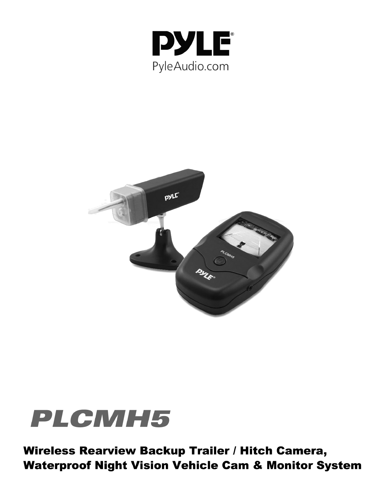





Wireless Rearview Backup Trailer / Hitch Camera, **Waterproof Night Vision Vehicle Cam & Monitor System**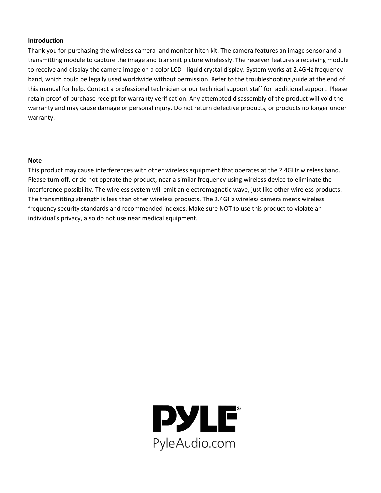#### **Introduction**

Thank you for purchasing the wireless camera and monitor hitch kit. The camera features an image sensor and a transmitting module to capture the image and transmit picture wirelessly. The receiver features a receiving module to receive and display the camera image on a color LCD - liquid crystal display. System works at 2.4GHz frequency band, which could be legally used worldwide without permission. Refer to the troubleshooting guide at the end of this manual for help. Contact a professional technician or our technical support staff for additional support. Please retain proof of purchase receipt for warranty verification. Any attempted disassembly of the product will void the warranty and may cause damage or personal injury. Do not return defective products, or products no longer under warranty.

#### **Note**

This product may cause interferences with other wireless equipment that operates at the 2.4GHz wireless band. Please turn off, or do not operate the product, near a similar frequency using wireless device to eliminate the interference possibility. The wireless system will emit an electromagnetic wave, just like other wireless products. The transmitting strength is less than other wireless products. The 2.4GHz wireless camera meets wireless frequency security standards and recommended indexes. Make sure NOT to use this product to violate an individual's privacy, also do not use near medical equipment.

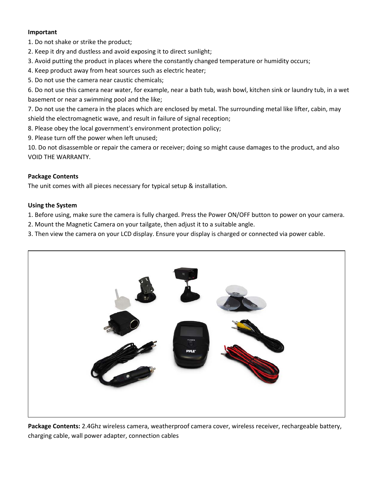## **Important**

1. Do not shake or strike the product;

- 2. Keep it dry and dustless and avoid exposing it to direct sunlight;
- 3. Avoid putting the product in places where the constantly changed temperature or humidity occurs;
- 4. Keep product away from heat sources such as electric heater;
- 5. Do not use the camera near caustic chemicals;

6. Do not use this camera near water, for example, near a bath tub, wash bowl, kitchen sink or laundry tub, in a wet basement or near a swimming pool and the like;

7. Do not use the camera in the places which are enclosed by metal. The surrounding metal like lifter, cabin, may shield the electromagnetic wave, and result in failure of signal reception;

8. Please obey the local government's environment protection policy;

9. Please turn off the power when left unused;

10. Do not disassemble or repair the camera or receiver; doing so might cause damages to the product, and also VOID THE WARRANTY.

## **Package Contents**

The unit comes with all pieces necessary for typical setup & installation.

## **Using the System**

1. Before using, make sure the camera is fully charged. Press the Power ON/OFF button to power on your camera.

2. Mount the Magnetic Camera on your tailgate, then adjust it to a suitable angle.

3. Then view the camera on your LCD display. Ensure your display is charged or connected via power cable.



Package Contents: 2.4Ghz wireless camera, weatherproof camera cover, wireless receiver, rechargeable battery, charging cable, wall power adapter, connection cables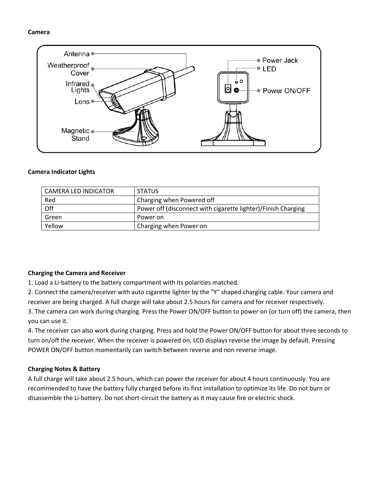#### **Camera**



#### **Camera Indicator Lights**

| CAMERA LED INDICATOR | <b>STATUS</b>                                                 |
|----------------------|---------------------------------------------------------------|
| Red                  | Charging when Powered off                                     |
| Off                  | Power off (disconnect with cigarette lighter)/Finish Charging |
| Green                | Power on                                                      |
| Yellow               | Charging when Power on                                        |

#### **Charging the Camera and Receiver**

1. Load a Li-battery to the battery compartment with its polarities matched.

2. Connect the camera/receiver with auto cigarette lighter by the "Y" shaped charging cable. Your camera and receiver are being charged. A full charge will take about 2.5 hours for camera and for receiver respectively.

3. The camera can work during charging. Press the Power ON/OFF button to power on (or turn off) the camera, then you can use it.

4. The receiver can also work during charging. Press and hold the Power ON/OFF button for about three seconds to turn on/off the receiver. When the receiver is powered on, LCD displays reverse the image by default. Pressing POWER ON/OFF button momentarily can switch between reverse and non reverse image.

## **Charging Notes & Battery**

A full charge will take about 2.5 hours, which can power the receiver for about 4 hours continuously. You are recommended to have the battery fully charged before its first installation to optimize its life. Do not burn or disassemble the Li-battery. Do not short-circuit the battery as it may cause fire or electric shock.